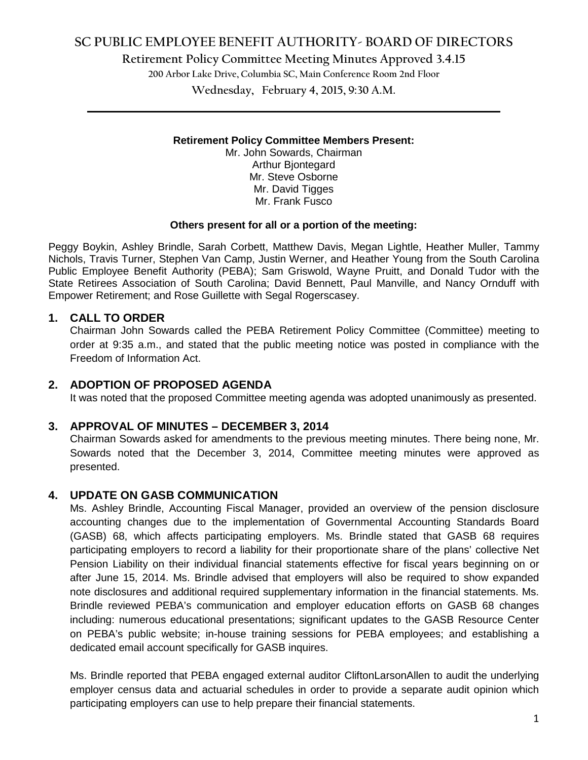# **SC PUBLIC EMPLOYEE BENEFIT AUTHORITY- BOARD OF DIRECTORS**

**Retirement Policy Committee Meeting Minutes Approved 3.4.15**

**200 Arbor Lake Drive, Columbia SC, Main Conference Room 2nd Floor**

**Wednesday, February 4, 2015, 9:30 A.M. \_\_\_\_\_\_\_\_\_\_\_\_\_\_\_\_\_\_\_\_\_\_\_\_\_\_\_\_\_\_\_\_\_\_\_\_\_\_\_\_\_\_\_\_\_\_\_\_\_\_\_\_\_\_\_\_\_\_\_\_\_\_\_\_\_\_\_\_\_\_\_\_**

#### **Retirement Policy Committee Members Present:**

Mr. John Sowards, Chairman Arthur Bjontegard Mr. Steve Osborne Mr. David Tigges Mr. Frank Fusco

#### **Others present for all or a portion of the meeting:**

Peggy Boykin, Ashley Brindle, Sarah Corbett, Matthew Davis, Megan Lightle, Heather Muller, Tammy Nichols, Travis Turner, Stephen Van Camp, Justin Werner, and Heather Young from the South Carolina Public Employee Benefit Authority (PEBA); Sam Griswold, Wayne Pruitt, and Donald Tudor with the State Retirees Association of South Carolina; David Bennett, Paul Manville, and Nancy Ornduff with Empower Retirement; and Rose Guillette with Segal Rogerscasey.

#### **1. CALL TO ORDER**

Chairman John Sowards called the PEBA Retirement Policy Committee (Committee) meeting to order at 9:35 a.m., and stated that the public meeting notice was posted in compliance with the Freedom of Information Act.

#### **2. ADOPTION OF PROPOSED AGENDA**

It was noted that the proposed Committee meeting agenda was adopted unanimously as presented.

#### **3. APPROVAL OF MINUTES – DECEMBER 3, 2014**

Chairman Sowards asked for amendments to the previous meeting minutes. There being none, Mr. Sowards noted that the December 3, 2014, Committee meeting minutes were approved as presented.

## **4. UPDATE ON GASB COMMUNICATION**

Ms. Ashley Brindle, Accounting Fiscal Manager, provided an overview of the pension disclosure accounting changes due to the implementation of Governmental Accounting Standards Board (GASB) 68, which affects participating employers. Ms. Brindle stated that GASB 68 requires participating employers to record a liability for their proportionate share of the plans' collective Net Pension Liability on their individual financial statements effective for fiscal years beginning on or after June 15, 2014. Ms. Brindle advised that employers will also be required to show expanded note disclosures and additional required supplementary information in the financial statements. Ms. Brindle reviewed PEBA's communication and employer education efforts on GASB 68 changes including: numerous educational presentations; significant updates to the GASB Resource Center on PEBA's public website; in-house training sessions for PEBA employees; and establishing a dedicated email account specifically for GASB inquires.

Ms. Brindle reported that PEBA engaged external auditor CliftonLarsonAllen to audit the underlying employer census data and actuarial schedules in order to provide a separate audit opinion which participating employers can use to help prepare their financial statements.